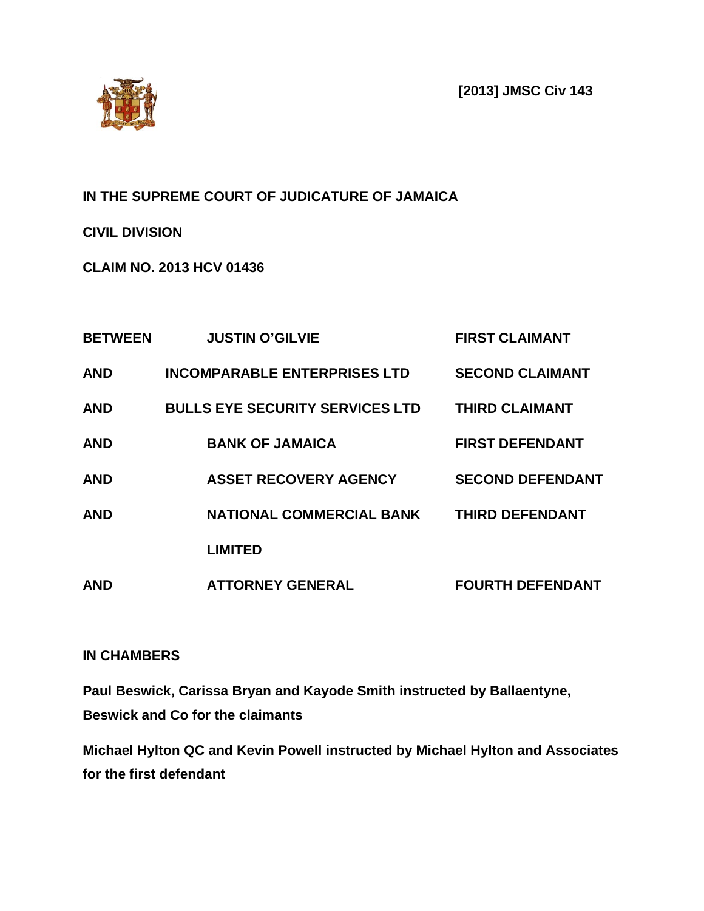**[2013] JMSC Civ 143**



## **IN THE SUPREME COURT OF JUDICATURE OF JAMAICA**

**CIVIL DIVISION**

**CLAIM NO. 2013 HCV 01436**

| <b>BETWEEN</b> | <b>JUSTIN O'GILVIE</b>                 | <b>FIRST CLAIMANT</b>   |
|----------------|----------------------------------------|-------------------------|
| <b>AND</b>     | <b>INCOMPARABLE ENTERPRISES LTD</b>    | <b>SECOND CLAIMANT</b>  |
| <b>AND</b>     | <b>BULLS EYE SECURITY SERVICES LTD</b> | <b>THIRD CLAIMANT</b>   |
| <b>AND</b>     | <b>BANK OF JAMAICA</b>                 | <b>FIRST DEFENDANT</b>  |
| <b>AND</b>     | <b>ASSET RECOVERY AGENCY</b>           | <b>SECOND DEFENDANT</b> |
| <b>AND</b>     | <b>NATIONAL COMMERCIAL BANK</b>        | <b>THIRD DEFENDANT</b>  |
|                | <b>LIMITED</b>                         |                         |
| <b>AND</b>     | <b>ATTORNEY GENERAL</b>                | <b>FOURTH DEFENDANT</b> |

## **IN CHAMBERS**

**Paul Beswick, Carissa Bryan and Kayode Smith instructed by Ballaentyne, Beswick and Co for the claimants**

**Michael Hylton QC and Kevin Powell instructed by Michael Hylton and Associates for the first defendant**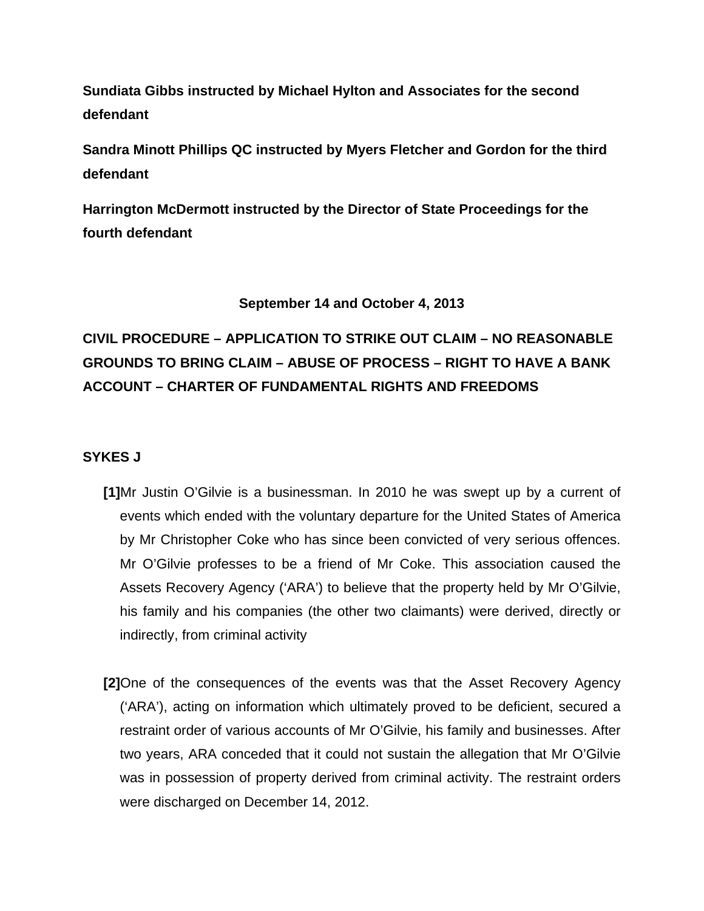**Sundiata Gibbs instructed by Michael Hylton and Associates for the second defendant**

**Sandra Minott Phillips QC instructed by Myers Fletcher and Gordon for the third defendant**

**Harrington McDermott instructed by the Director of State Proceedings for the fourth defendant**

## **September 14 and October 4, 2013**

# **CIVIL PROCEDURE – APPLICATION TO STRIKE OUT CLAIM – NO REASONABLE GROUNDS TO BRING CLAIM – ABUSE OF PROCESS – RIGHT TO HAVE A BANK ACCOUNT – CHARTER OF FUNDAMENTAL RIGHTS AND FREEDOMS**

## **SYKES J**

- **[1]**Mr Justin O'Gilvie is a businessman. In 2010 he was swept up by a current of events which ended with the voluntary departure for the United States of America by Mr Christopher Coke who has since been convicted of very serious offences. Mr O'Gilvie professes to be a friend of Mr Coke. This association caused the Assets Recovery Agency ('ARA') to believe that the property held by Mr O'Gilvie, his family and his companies (the other two claimants) were derived, directly or indirectly, from criminal activity
- **[2]**One of the consequences of the events was that the Asset Recovery Agency ('ARA'), acting on information which ultimately proved to be deficient, secured a restraint order of various accounts of Mr O'Gilvie, his family and businesses. After two years, ARA conceded that it could not sustain the allegation that Mr O'Gilvie was in possession of property derived from criminal activity. The restraint orders were discharged on December 14, 2012.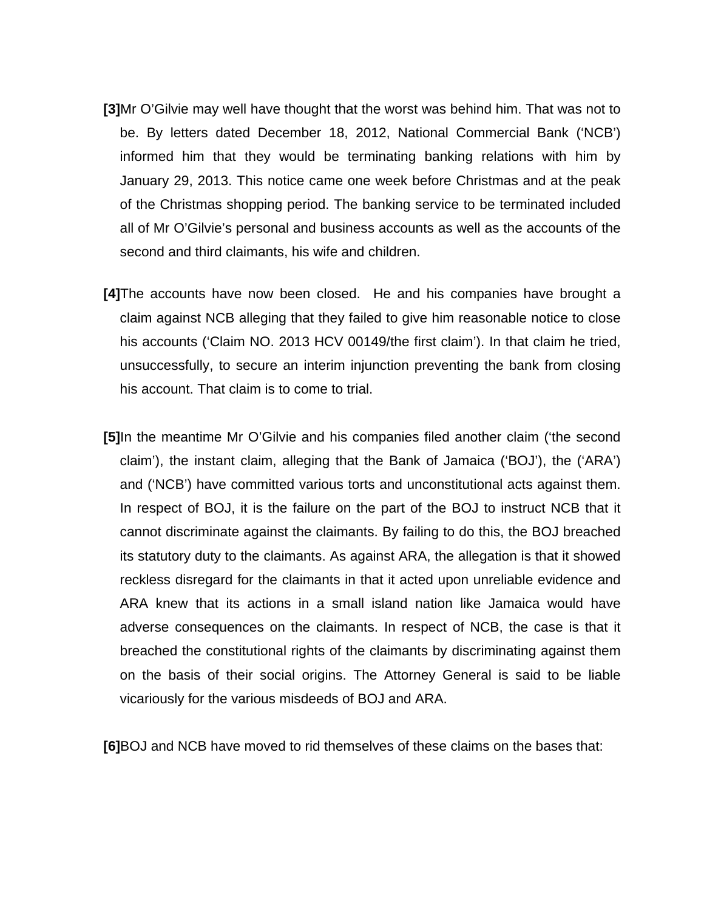- **[3]**Mr O'Gilvie may well have thought that the worst was behind him. That was not to be. By letters dated December 18, 2012, National Commercial Bank ('NCB') informed him that they would be terminating banking relations with him by January 29, 2013. This notice came one week before Christmas and at the peak of the Christmas shopping period. The banking service to be terminated included all of Mr O'Gilvie's personal and business accounts as well as the accounts of the second and third claimants, his wife and children.
- **[4]**The accounts have now been closed. He and his companies have brought a claim against NCB alleging that they failed to give him reasonable notice to close his accounts ('Claim NO. 2013 HCV 00149/the first claim'). In that claim he tried, unsuccessfully, to secure an interim injunction preventing the bank from closing his account. That claim is to come to trial.
- **[5]**In the meantime Mr O'Gilvie and his companies filed another claim ('the second claim'), the instant claim, alleging that the Bank of Jamaica ('BOJ'), the ('ARA') and ('NCB') have committed various torts and unconstitutional acts against them. In respect of BOJ, it is the failure on the part of the BOJ to instruct NCB that it cannot discriminate against the claimants. By failing to do this, the BOJ breached its statutory duty to the claimants. As against ARA, the allegation is that it showed reckless disregard for the claimants in that it acted upon unreliable evidence and ARA knew that its actions in a small island nation like Jamaica would have adverse consequences on the claimants. In respect of NCB, the case is that it breached the constitutional rights of the claimants by discriminating against them on the basis of their social origins. The Attorney General is said to be liable vicariously for the various misdeeds of BOJ and ARA.

**[6]**BOJ and NCB have moved to rid themselves of these claims on the bases that: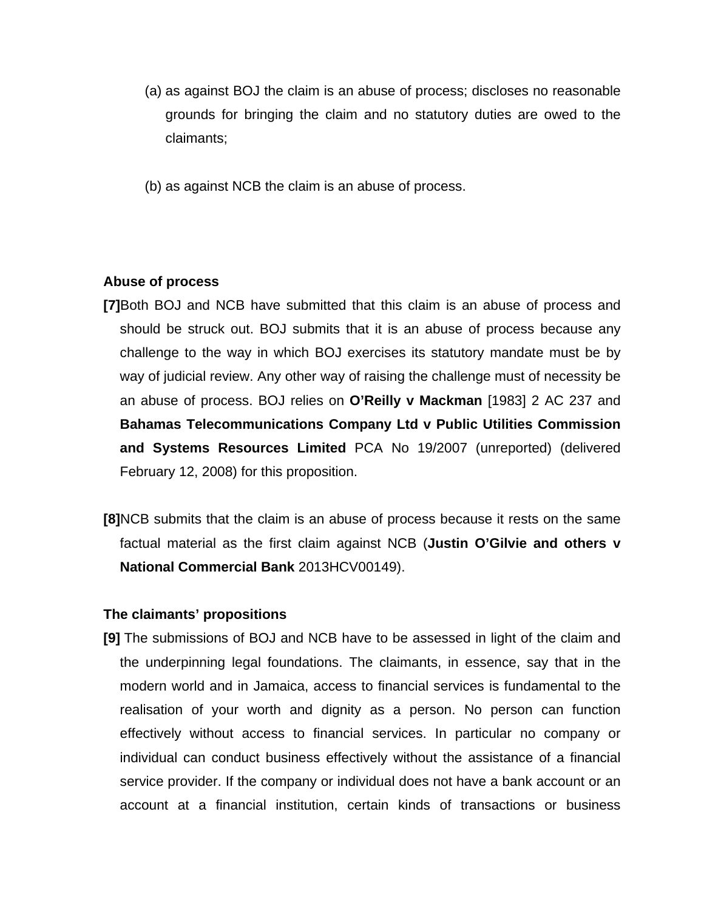- (a) as against BOJ the claim is an abuse of process; discloses no reasonable grounds for bringing the claim and no statutory duties are owed to the claimants;
- (b) as against NCB the claim is an abuse of process.

#### **Abuse of process**

- **[7]**Both BOJ and NCB have submitted that this claim is an abuse of process and should be struck out. BOJ submits that it is an abuse of process because any challenge to the way in which BOJ exercises its statutory mandate must be by way of judicial review. Any other way of raising the challenge must of necessity be an abuse of process. BOJ relies on **O'Reilly v Mackman** [1983] 2 AC 237 and **Bahamas Telecommunications Company Ltd v Public Utilities Commission and Systems Resources Limited** PCA No 19/2007 (unreported) (delivered February 12, 2008) for this proposition.
- **[8]**NCB submits that the claim is an abuse of process because it rests on the same factual material as the first claim against NCB (**Justin O'Gilvie and others v National Commercial Bank** 2013HCV00149).

#### **The claimants' propositions**

**[9]** The submissions of BOJ and NCB have to be assessed in light of the claim and the underpinning legal foundations. The claimants, in essence, say that in the modern world and in Jamaica, access to financial services is fundamental to the realisation of your worth and dignity as a person. No person can function effectively without access to financial services. In particular no company or individual can conduct business effectively without the assistance of a financial service provider. If the company or individual does not have a bank account or an account at a financial institution, certain kinds of transactions or business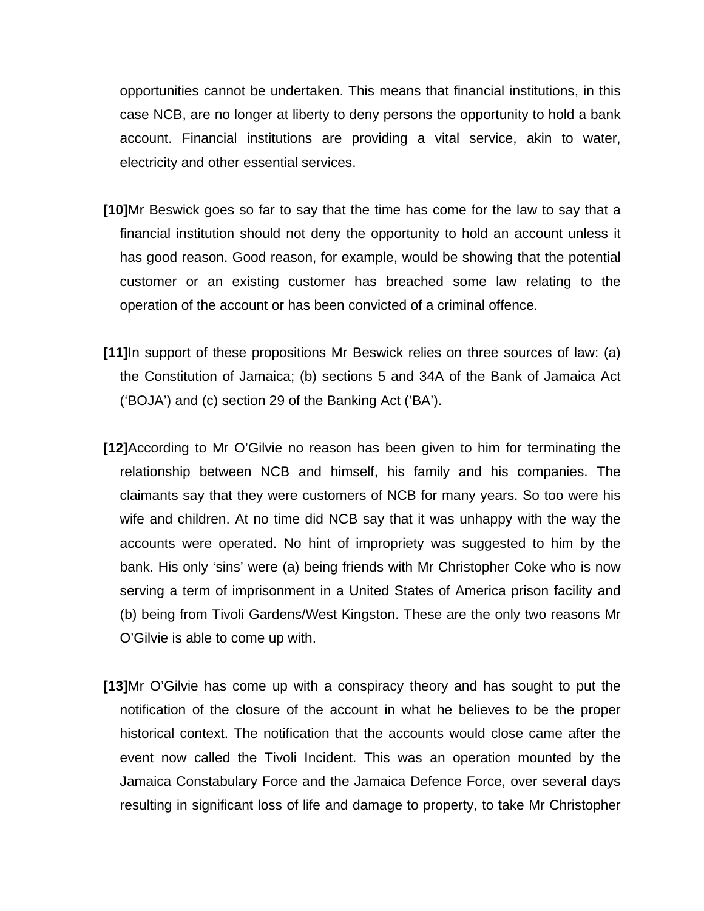opportunities cannot be undertaken. This means that financial institutions, in this case NCB, are no longer at liberty to deny persons the opportunity to hold a bank account. Financial institutions are providing a vital service, akin to water, electricity and other essential services.

- **[10]**Mr Beswick goes so far to say that the time has come for the law to say that a financial institution should not deny the opportunity to hold an account unless it has good reason. Good reason, for example, would be showing that the potential customer or an existing customer has breached some law relating to the operation of the account or has been convicted of a criminal offence.
- **[11]**In support of these propositions Mr Beswick relies on three sources of law: (a) the Constitution of Jamaica; (b) sections 5 and 34A of the Bank of Jamaica Act ('BOJA') and (c) section 29 of the Banking Act ('BA').
- **[12]**According to Mr O'Gilvie no reason has been given to him for terminating the relationship between NCB and himself, his family and his companies. The claimants say that they were customers of NCB for many years. So too were his wife and children. At no time did NCB say that it was unhappy with the way the accounts were operated. No hint of impropriety was suggested to him by the bank. His only 'sins' were (a) being friends with Mr Christopher Coke who is now serving a term of imprisonment in a United States of America prison facility and (b) being from Tivoli Gardens/West Kingston. These are the only two reasons Mr O'Gilvie is able to come up with.
- **[13]**Mr O'Gilvie has come up with a conspiracy theory and has sought to put the notification of the closure of the account in what he believes to be the proper historical context. The notification that the accounts would close came after the event now called the Tivoli Incident. This was an operation mounted by the Jamaica Constabulary Force and the Jamaica Defence Force, over several days resulting in significant loss of life and damage to property, to take Mr Christopher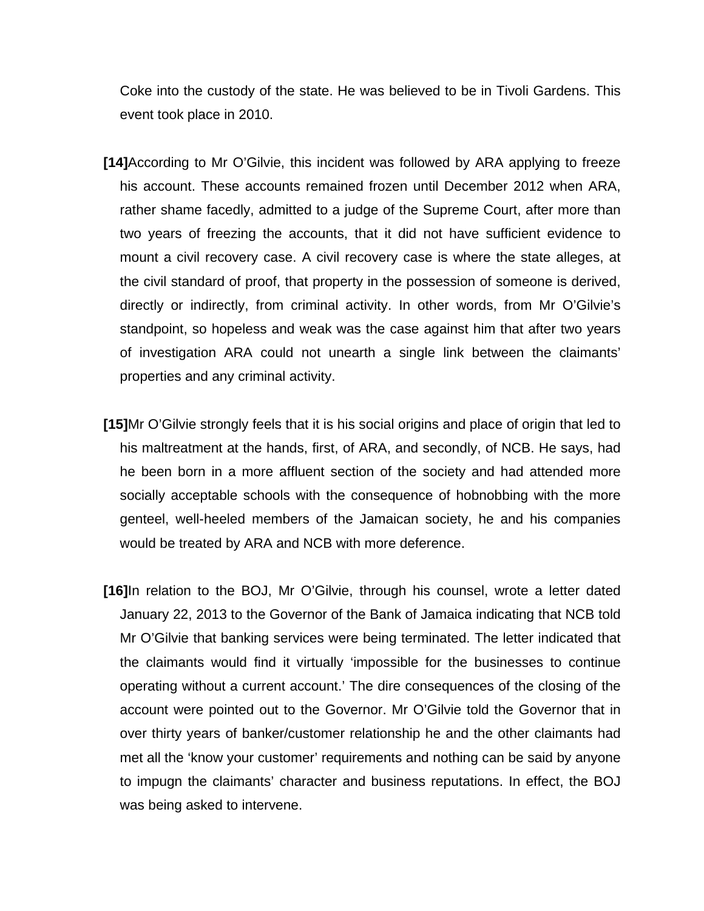Coke into the custody of the state. He was believed to be in Tivoli Gardens. This event took place in 2010.

- **[14]**According to Mr O'Gilvie, this incident was followed by ARA applying to freeze his account. These accounts remained frozen until December 2012 when ARA, rather shame facedly, admitted to a judge of the Supreme Court, after more than two years of freezing the accounts, that it did not have sufficient evidence to mount a civil recovery case. A civil recovery case is where the state alleges, at the civil standard of proof, that property in the possession of someone is derived, directly or indirectly, from criminal activity. In other words, from Mr O'Gilvie's standpoint, so hopeless and weak was the case against him that after two years of investigation ARA could not unearth a single link between the claimants' properties and any criminal activity.
- **[15]**Mr O'Gilvie strongly feels that it is his social origins and place of origin that led to his maltreatment at the hands, first, of ARA, and secondly, of NCB. He says, had he been born in a more affluent section of the society and had attended more socially acceptable schools with the consequence of hobnobbing with the more genteel, well-heeled members of the Jamaican society, he and his companies would be treated by ARA and NCB with more deference.
- **[16]**In relation to the BOJ, Mr O'Gilvie, through his counsel, wrote a letter dated January 22, 2013 to the Governor of the Bank of Jamaica indicating that NCB told Mr O'Gilvie that banking services were being terminated. The letter indicated that the claimants would find it virtually 'impossible for the businesses to continue operating without a current account.' The dire consequences of the closing of the account were pointed out to the Governor. Mr O'Gilvie told the Governor that in over thirty years of banker/customer relationship he and the other claimants had met all the 'know your customer' requirements and nothing can be said by anyone to impugn the claimants' character and business reputations. In effect, the BOJ was being asked to intervene.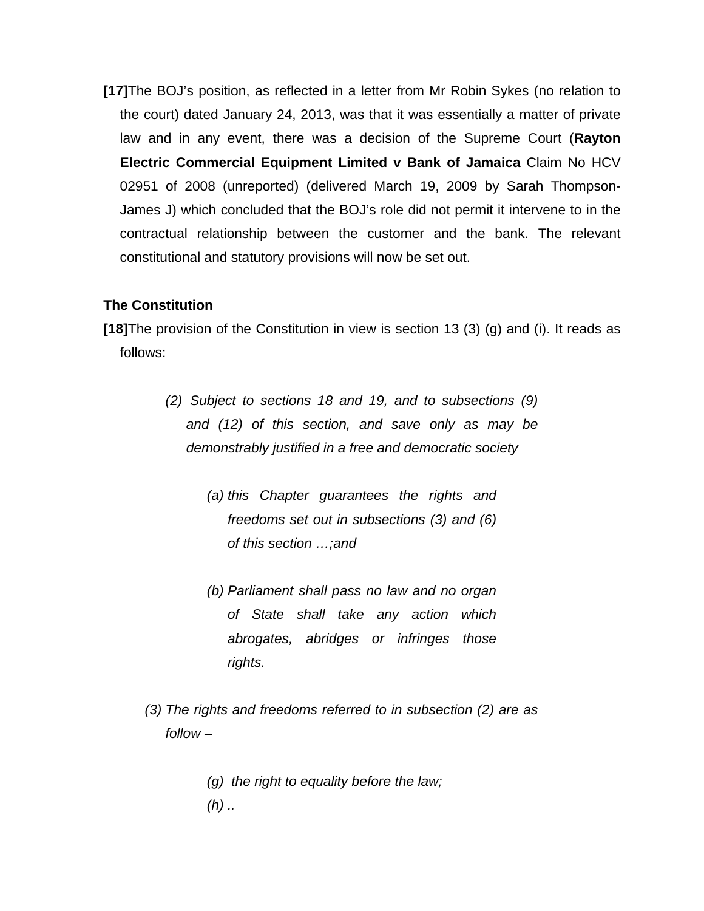**[17]**The BOJ's position, as reflected in a letter from Mr Robin Sykes (no relation to the court) dated January 24, 2013, was that it was essentially a matter of private law and in any event, there was a decision of the Supreme Court (**Rayton Electric Commercial Equipment Limited v Bank of Jamaica** Claim No HCV 02951 of 2008 (unreported) (delivered March 19, 2009 by Sarah Thompson-James J) which concluded that the BOJ's role did not permit it intervene to in the contractual relationship between the customer and the bank. The relevant constitutional and statutory provisions will now be set out.

### **The Constitution**

**[18]**The provision of the Constitution in view is section 13 (3) (g) and (i). It reads as follows:

- *(2) Subject to sections 18 and 19, and to subsections (9) and (12) of this section, and save only as may be demonstrably justified in a free and democratic society*
	- *(a) this Chapter guarantees the rights and freedoms set out in subsections (3) and (6) of this section …;and*
	- *(b) Parliament shall pass no law and no organ of State shall take any action which abrogates, abridges or infringes those rights.*
- *(3) The rights and freedoms referred to in subsection (2) are as follow –*
	- *(g) the right to equality before the law; (h) ..*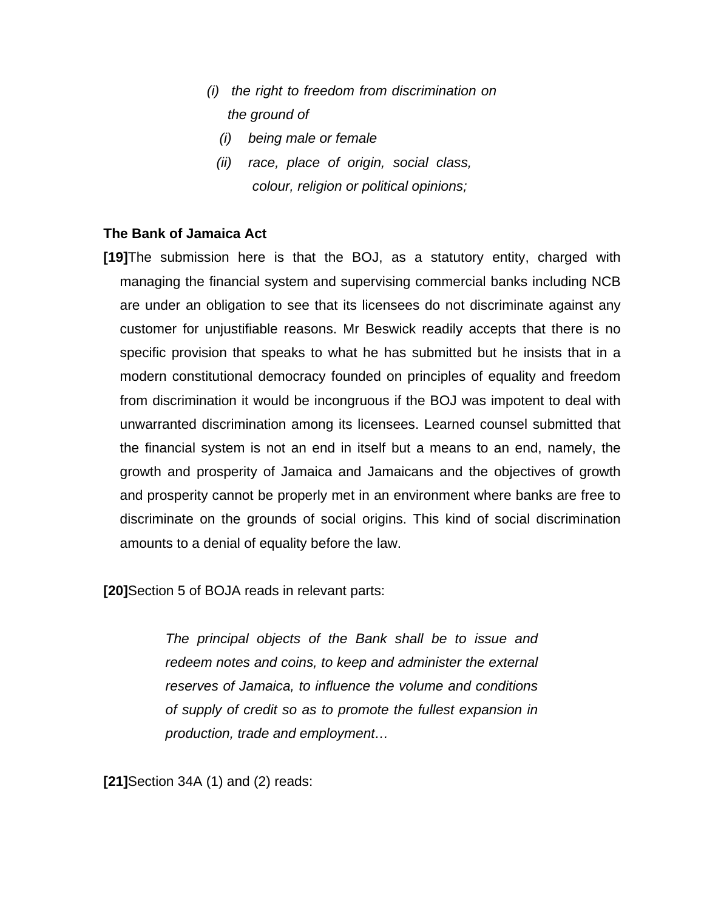- *(i) the right to freedom from discrimination on the ground of* 
	- *(i) being male or female*
	- *(ii) race, place of origin, social class, colour, religion or political opinions;*

### **The Bank of Jamaica Act**

**[19]**The submission here is that the BOJ, as a statutory entity, charged with managing the financial system and supervising commercial banks including NCB are under an obligation to see that its licensees do not discriminate against any customer for unjustifiable reasons. Mr Beswick readily accepts that there is no specific provision that speaks to what he has submitted but he insists that in a modern constitutional democracy founded on principles of equality and freedom from discrimination it would be incongruous if the BOJ was impotent to deal with unwarranted discrimination among its licensees. Learned counsel submitted that the financial system is not an end in itself but a means to an end, namely, the growth and prosperity of Jamaica and Jamaicans and the objectives of growth and prosperity cannot be properly met in an environment where banks are free to discriminate on the grounds of social origins. This kind of social discrimination amounts to a denial of equality before the law.

**[20]**Section 5 of BOJA reads in relevant parts:

*The principal objects of the Bank shall be to issue and redeem notes and coins, to keep and administer the external reserves of Jamaica, to influence the volume and conditions of supply of credit so as to promote the fullest expansion in production, trade and employment…*

**[21]**Section 34A (1) and (2) reads: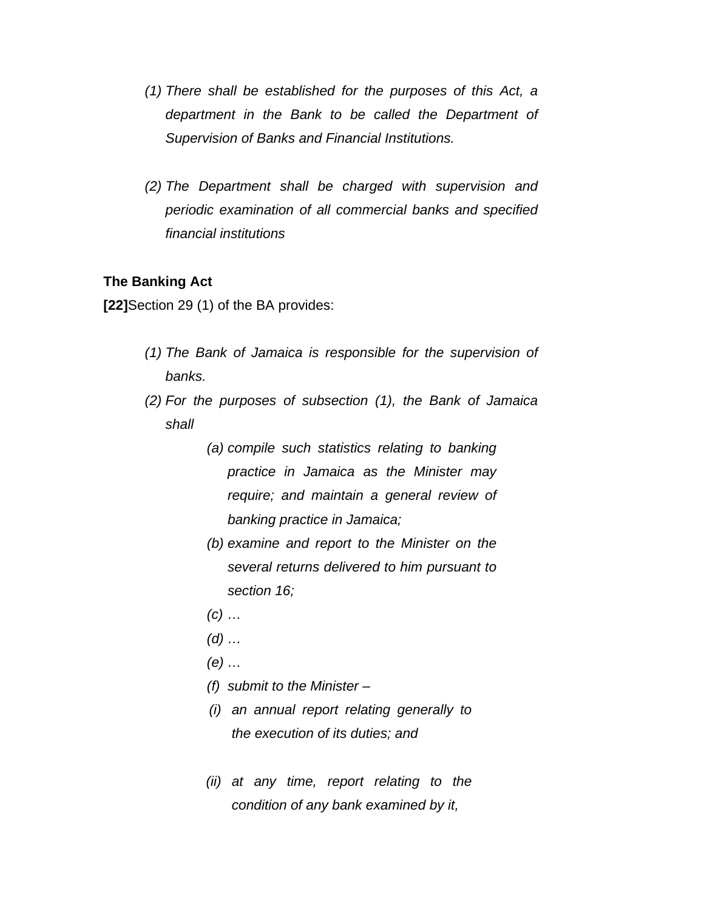- *(1) There shall be established for the purposes of this Act, a department in the Bank to be called the Department of Supervision of Banks and Financial Institutions.*
- *(2) The Department shall be charged with supervision and periodic examination of all commercial banks and specified financial institutions*

#### **The Banking Act**

**[22]**Section 29 (1) of the BA provides:

- *(1) The Bank of Jamaica is responsible for the supervision of banks.*
- *(2) For the purposes of subsection (1), the Bank of Jamaica shall*
	- *(a) compile such statistics relating to banking practice in Jamaica as the Minister may require; and maintain a general review of banking practice in Jamaica;*
	- *(b) examine and report to the Minister on the several returns delivered to him pursuant to section 16;*
	- *(c) …*
	- *(d) …*
	- *(e) …*
	- *(f) submit to the Minister –*
	- *(i) an annual report relating generally to the execution of its duties; and*
	- *(ii) at any time, report relating to the condition of any bank examined by it,*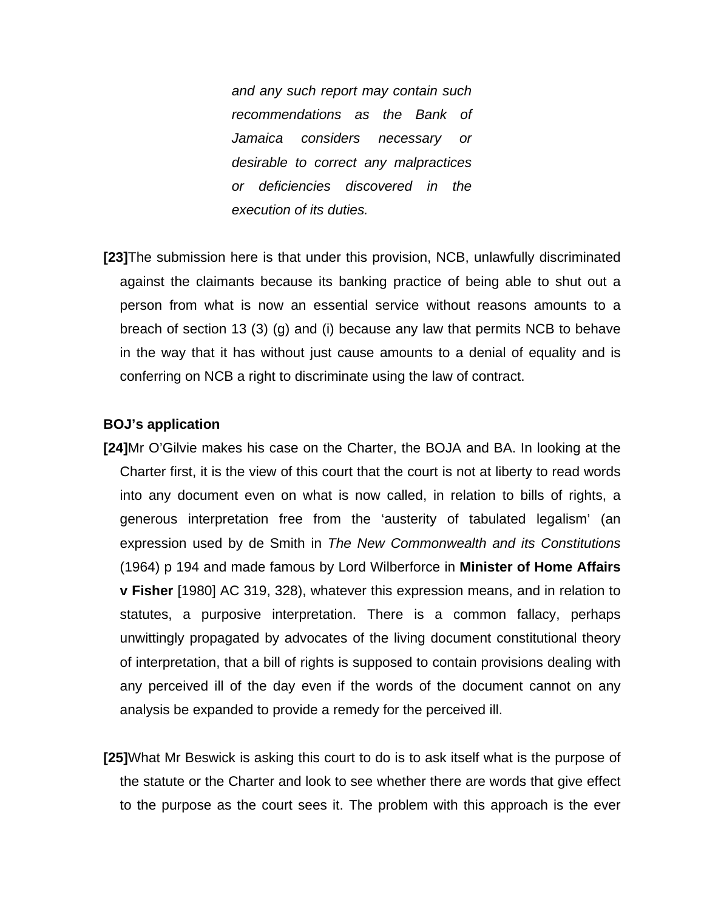*and any such report may contain such recommendations as the Bank of Jamaica considers necessary or desirable to correct any malpractices or deficiencies discovered in the execution of its duties.*

**[23]**The submission here is that under this provision, NCB, unlawfully discriminated against the claimants because its banking practice of being able to shut out a person from what is now an essential service without reasons amounts to a breach of section 13 (3) (g) and (i) because any law that permits NCB to behave in the way that it has without just cause amounts to a denial of equality and is conferring on NCB a right to discriminate using the law of contract.

#### **BOJ's application**

- **[24]**Mr O'Gilvie makes his case on the Charter, the BOJA and BA. In looking at the Charter first, it is the view of this court that the court is not at liberty to read words into any document even on what is now called, in relation to bills of rights, a generous interpretation free from the 'austerity of tabulated legalism' (an expression used by de Smith in *The New Commonwealth and its Constitutions*  (1964) p 194 and made famous by Lord Wilberforce in **Minister of Home Affairs v Fisher** [1980] AC 319, 328), whatever this expression means, and in relation to statutes, a purposive interpretation. There is a common fallacy, perhaps unwittingly propagated by advocates of the living document constitutional theory of interpretation, that a bill of rights is supposed to contain provisions dealing with any perceived ill of the day even if the words of the document cannot on any analysis be expanded to provide a remedy for the perceived ill.
- **[25]**What Mr Beswick is asking this court to do is to ask itself what is the purpose of the statute or the Charter and look to see whether there are words that give effect to the purpose as the court sees it. The problem with this approach is the ever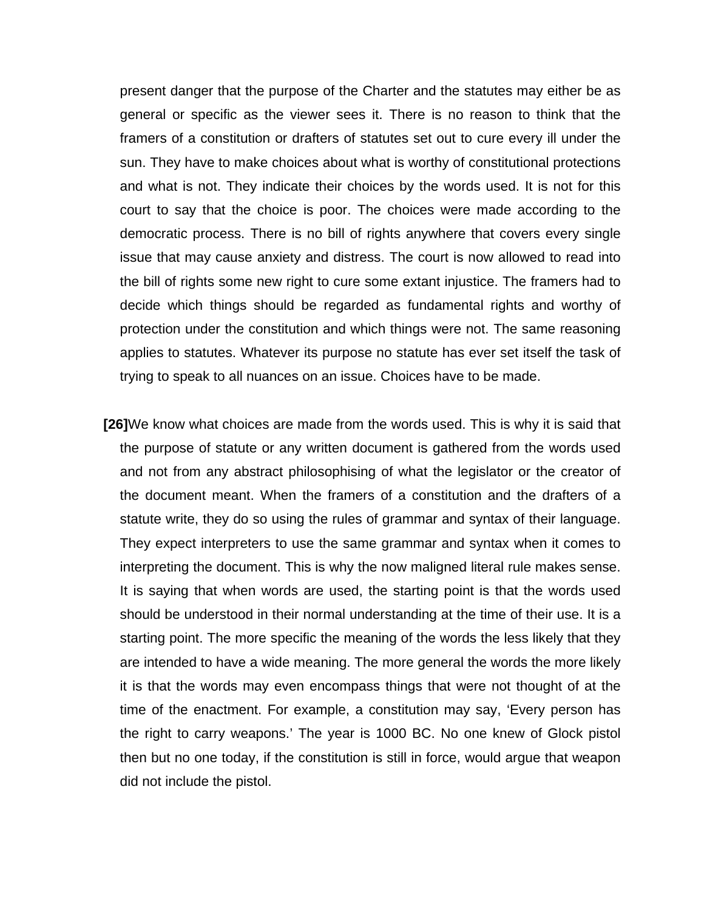present danger that the purpose of the Charter and the statutes may either be as general or specific as the viewer sees it. There is no reason to think that the framers of a constitution or drafters of statutes set out to cure every ill under the sun. They have to make choices about what is worthy of constitutional protections and what is not. They indicate their choices by the words used. It is not for this court to say that the choice is poor. The choices were made according to the democratic process. There is no bill of rights anywhere that covers every single issue that may cause anxiety and distress. The court is now allowed to read into the bill of rights some new right to cure some extant injustice. The framers had to decide which things should be regarded as fundamental rights and worthy of protection under the constitution and which things were not. The same reasoning applies to statutes. Whatever its purpose no statute has ever set itself the task of trying to speak to all nuances on an issue. Choices have to be made.

**[26]**We know what choices are made from the words used. This is why it is said that the purpose of statute or any written document is gathered from the words used and not from any abstract philosophising of what the legislator or the creator of the document meant. When the framers of a constitution and the drafters of a statute write, they do so using the rules of grammar and syntax of their language. They expect interpreters to use the same grammar and syntax when it comes to interpreting the document. This is why the now maligned literal rule makes sense. It is saying that when words are used, the starting point is that the words used should be understood in their normal understanding at the time of their use. It is a starting point. The more specific the meaning of the words the less likely that they are intended to have a wide meaning. The more general the words the more likely it is that the words may even encompass things that were not thought of at the time of the enactment. For example, a constitution may say, 'Every person has the right to carry weapons.' The year is 1000 BC. No one knew of Glock pistol then but no one today, if the constitution is still in force, would argue that weapon did not include the pistol.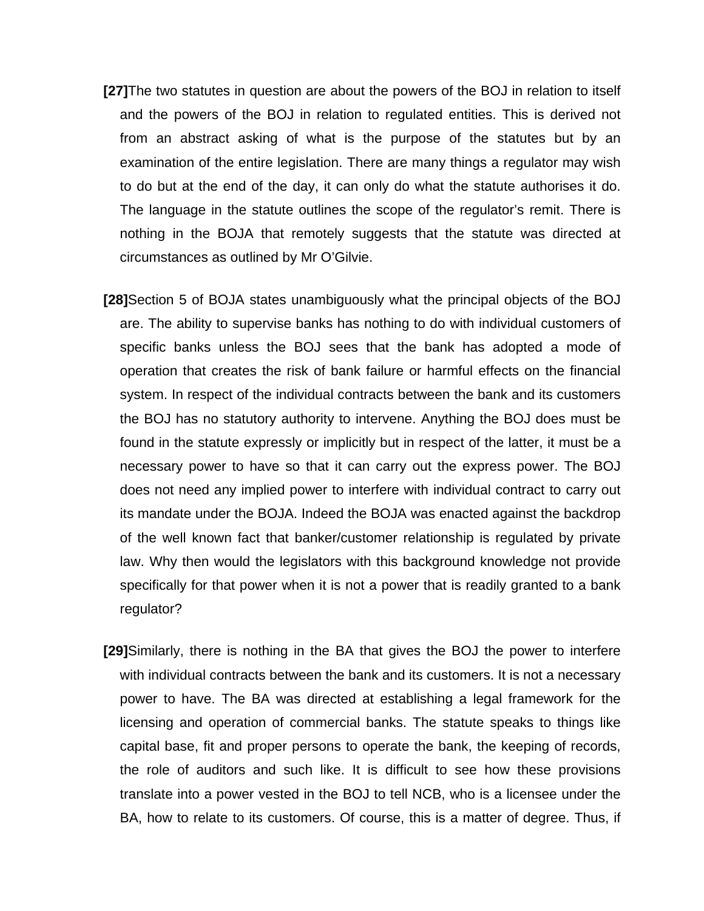- **[27]**The two statutes in question are about the powers of the BOJ in relation to itself and the powers of the BOJ in relation to regulated entities. This is derived not from an abstract asking of what is the purpose of the statutes but by an examination of the entire legislation. There are many things a regulator may wish to do but at the end of the day, it can only do what the statute authorises it do. The language in the statute outlines the scope of the regulator's remit. There is nothing in the BOJA that remotely suggests that the statute was directed at circumstances as outlined by Mr O'Gilvie.
- **[28]**Section 5 of BOJA states unambiguously what the principal objects of the BOJ are. The ability to supervise banks has nothing to do with individual customers of specific banks unless the BOJ sees that the bank has adopted a mode of operation that creates the risk of bank failure or harmful effects on the financial system. In respect of the individual contracts between the bank and its customers the BOJ has no statutory authority to intervene. Anything the BOJ does must be found in the statute expressly or implicitly but in respect of the latter, it must be a necessary power to have so that it can carry out the express power. The BOJ does not need any implied power to interfere with individual contract to carry out its mandate under the BOJA. Indeed the BOJA was enacted against the backdrop of the well known fact that banker/customer relationship is regulated by private law. Why then would the legislators with this background knowledge not provide specifically for that power when it is not a power that is readily granted to a bank regulator?
- **[29]**Similarly, there is nothing in the BA that gives the BOJ the power to interfere with individual contracts between the bank and its customers. It is not a necessary power to have. The BA was directed at establishing a legal framework for the licensing and operation of commercial banks. The statute speaks to things like capital base, fit and proper persons to operate the bank, the keeping of records, the role of auditors and such like. It is difficult to see how these provisions translate into a power vested in the BOJ to tell NCB, who is a licensee under the BA, how to relate to its customers. Of course, this is a matter of degree. Thus, if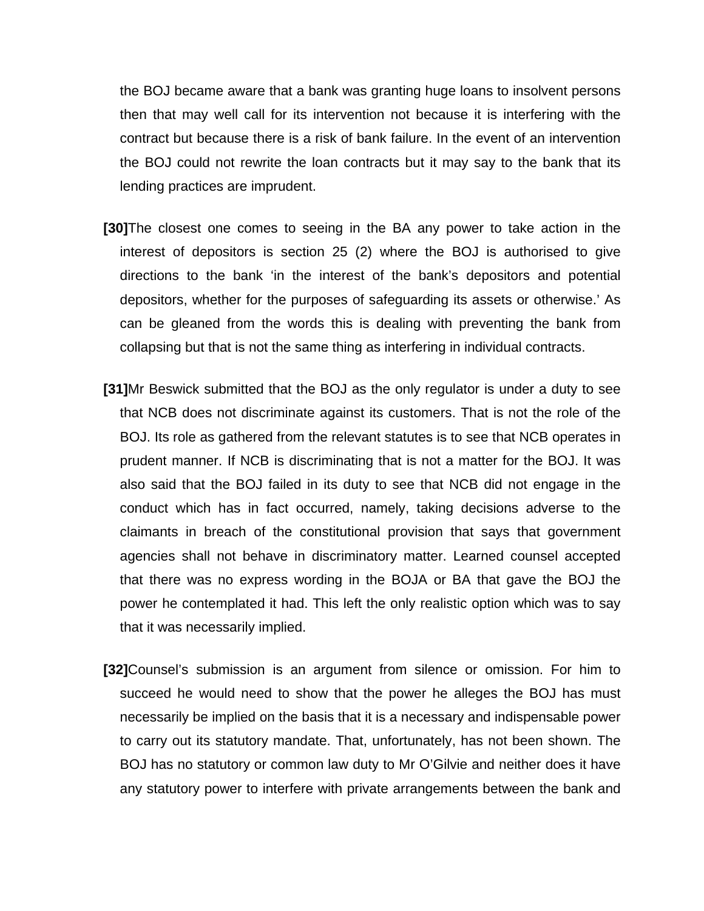the BOJ became aware that a bank was granting huge loans to insolvent persons then that may well call for its intervention not because it is interfering with the contract but because there is a risk of bank failure. In the event of an intervention the BOJ could not rewrite the loan contracts but it may say to the bank that its lending practices are imprudent.

- **[30]**The closest one comes to seeing in the BA any power to take action in the interest of depositors is section 25 (2) where the BOJ is authorised to give directions to the bank 'in the interest of the bank's depositors and potential depositors, whether for the purposes of safeguarding its assets or otherwise.' As can be gleaned from the words this is dealing with preventing the bank from collapsing but that is not the same thing as interfering in individual contracts.
- **[31]**Mr Beswick submitted that the BOJ as the only regulator is under a duty to see that NCB does not discriminate against its customers. That is not the role of the BOJ. Its role as gathered from the relevant statutes is to see that NCB operates in prudent manner. If NCB is discriminating that is not a matter for the BOJ. It was also said that the BOJ failed in its duty to see that NCB did not engage in the conduct which has in fact occurred, namely, taking decisions adverse to the claimants in breach of the constitutional provision that says that government agencies shall not behave in discriminatory matter. Learned counsel accepted that there was no express wording in the BOJA or BA that gave the BOJ the power he contemplated it had. This left the only realistic option which was to say that it was necessarily implied.
- **[32]**Counsel's submission is an argument from silence or omission. For him to succeed he would need to show that the power he alleges the BOJ has must necessarily be implied on the basis that it is a necessary and indispensable power to carry out its statutory mandate. That, unfortunately, has not been shown. The BOJ has no statutory or common law duty to Mr O'Gilvie and neither does it have any statutory power to interfere with private arrangements between the bank and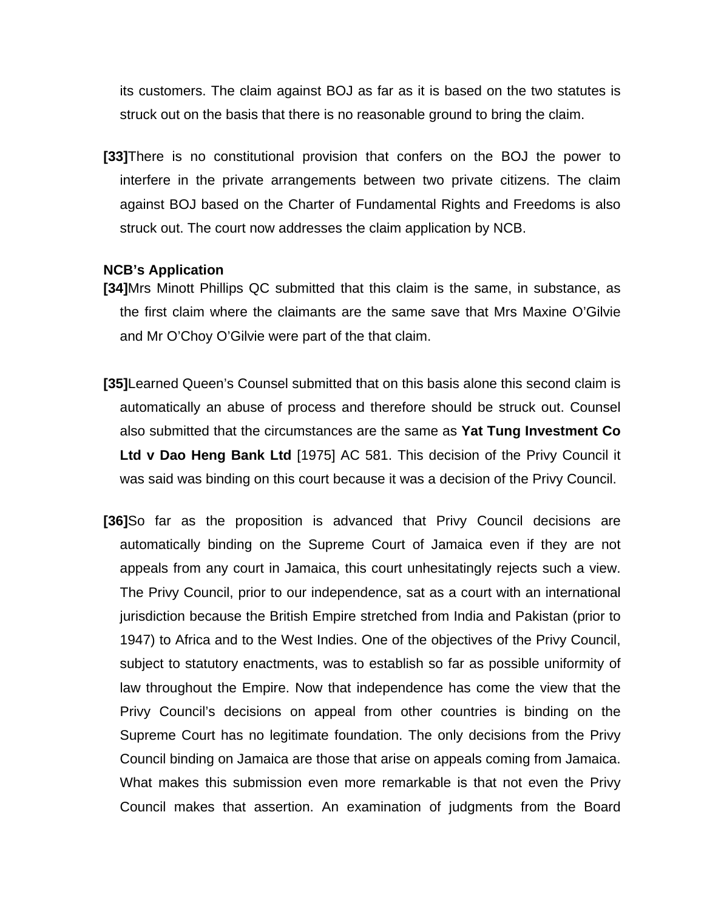its customers. The claim against BOJ as far as it is based on the two statutes is struck out on the basis that there is no reasonable ground to bring the claim.

**[33]**There is no constitutional provision that confers on the BOJ the power to interfere in the private arrangements between two private citizens. The claim against BOJ based on the Charter of Fundamental Rights and Freedoms is also struck out. The court now addresses the claim application by NCB.

#### **NCB's Application**

- **[34]**Mrs Minott Phillips QC submitted that this claim is the same, in substance, as the first claim where the claimants are the same save that Mrs Maxine O'Gilvie and Mr O'Choy O'Gilvie were part of the that claim.
- **[35]**Learned Queen's Counsel submitted that on this basis alone this second claim is automatically an abuse of process and therefore should be struck out. Counsel also submitted that the circumstances are the same as **Yat Tung Investment Co Ltd v Dao Heng Bank Ltd** [1975] AC 581. This decision of the Privy Council it was said was binding on this court because it was a decision of the Privy Council.
- **[36]**So far as the proposition is advanced that Privy Council decisions are automatically binding on the Supreme Court of Jamaica even if they are not appeals from any court in Jamaica, this court unhesitatingly rejects such a view. The Privy Council, prior to our independence, sat as a court with an international jurisdiction because the British Empire stretched from India and Pakistan (prior to 1947) to Africa and to the West Indies. One of the objectives of the Privy Council, subject to statutory enactments, was to establish so far as possible uniformity of law throughout the Empire. Now that independence has come the view that the Privy Council's decisions on appeal from other countries is binding on the Supreme Court has no legitimate foundation. The only decisions from the Privy Council binding on Jamaica are those that arise on appeals coming from Jamaica. What makes this submission even more remarkable is that not even the Privy Council makes that assertion. An examination of judgments from the Board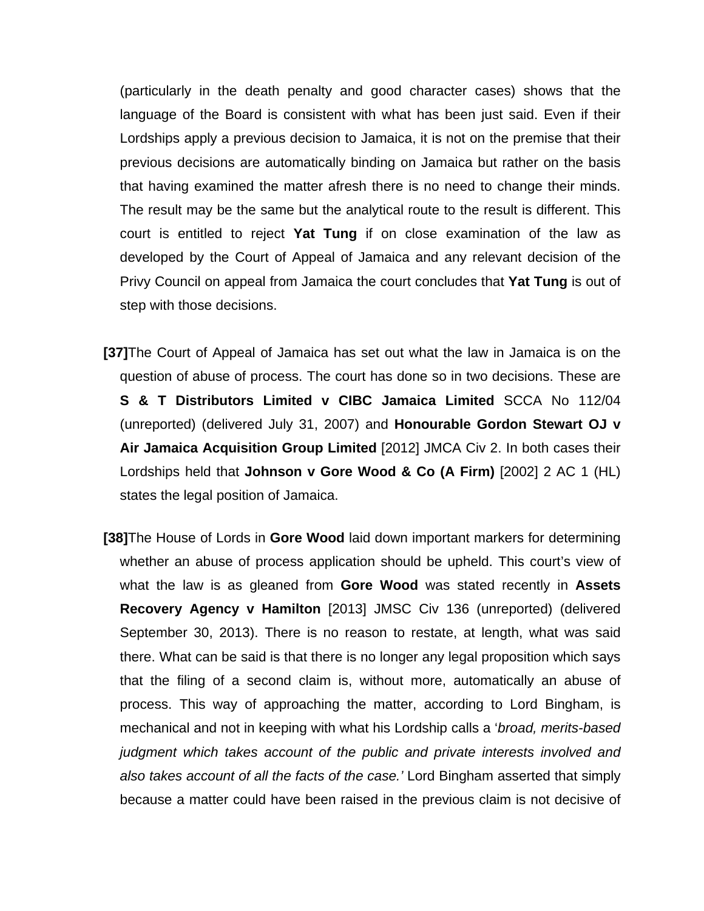(particularly in the death penalty and good character cases) shows that the language of the Board is consistent with what has been just said. Even if their Lordships apply a previous decision to Jamaica, it is not on the premise that their previous decisions are automatically binding on Jamaica but rather on the basis that having examined the matter afresh there is no need to change their minds. The result may be the same but the analytical route to the result is different. This court is entitled to reject **Yat Tung** if on close examination of the law as developed by the Court of Appeal of Jamaica and any relevant decision of the Privy Council on appeal from Jamaica the court concludes that **Yat Tung** is out of step with those decisions.

- **[37]**The Court of Appeal of Jamaica has set out what the law in Jamaica is on the question of abuse of process. The court has done so in two decisions. These are **S & T Distributors Limited v CIBC Jamaica Limited** SCCA No 112/04 (unreported) (delivered July 31, 2007) and **Honourable Gordon Stewart OJ v Air Jamaica Acquisition Group Limited** [2012] JMCA Civ 2. In both cases their Lordships held that **Johnson v Gore Wood & Co (A Firm)** [2002] 2 AC 1 (HL) states the legal position of Jamaica.
- **[38]**The House of Lords in **Gore Wood** laid down important markers for determining whether an abuse of process application should be upheld. This court's view of what the law is as gleaned from **Gore Wood** was stated recently in **Assets Recovery Agency v Hamilton** [2013] JMSC Civ 136 (unreported) (delivered September 30, 2013). There is no reason to restate, at length, what was said there. What can be said is that there is no longer any legal proposition which says that the filing of a second claim is, without more, automatically an abuse of process. This way of approaching the matter, according to Lord Bingham, is mechanical and not in keeping with what his Lordship calls a '*broad, merits-based judgment which takes account of the public and private interests involved and also takes account of all the facts of the case.'* Lord Bingham asserted that simply because a matter could have been raised in the previous claim is not decisive of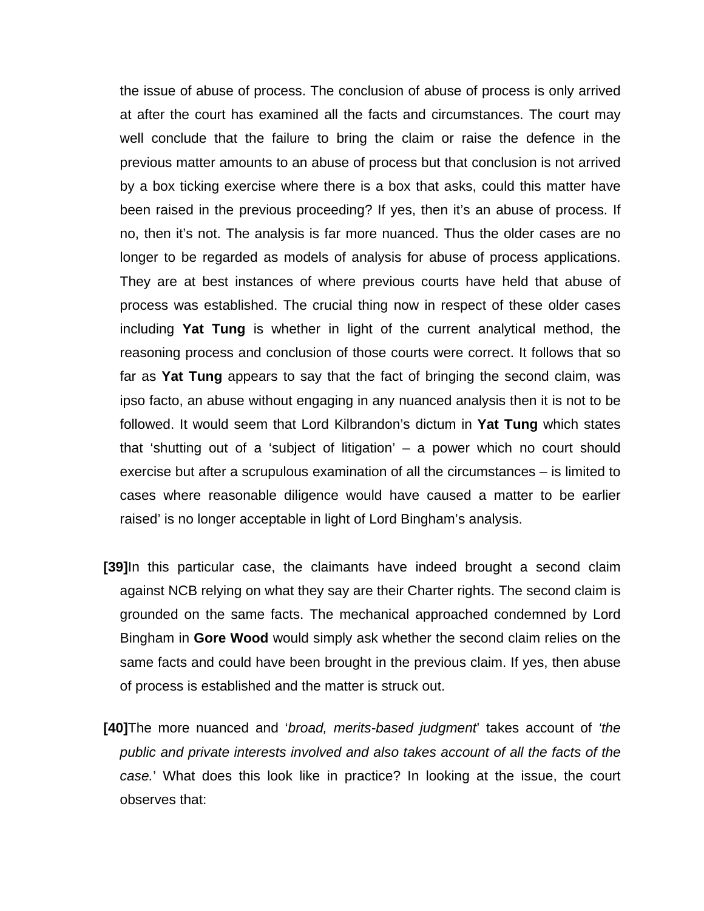the issue of abuse of process. The conclusion of abuse of process is only arrived at after the court has examined all the facts and circumstances. The court may well conclude that the failure to bring the claim or raise the defence in the previous matter amounts to an abuse of process but that conclusion is not arrived by a box ticking exercise where there is a box that asks, could this matter have been raised in the previous proceeding? If yes, then it's an abuse of process. If no, then it's not. The analysis is far more nuanced. Thus the older cases are no longer to be regarded as models of analysis for abuse of process applications. They are at best instances of where previous courts have held that abuse of process was established. The crucial thing now in respect of these older cases including **Yat Tung** is whether in light of the current analytical method, the reasoning process and conclusion of those courts were correct. It follows that so far as **Yat Tung** appears to say that the fact of bringing the second claim, was ipso facto, an abuse without engaging in any nuanced analysis then it is not to be followed. It would seem that Lord Kilbrandon's dictum in **Yat Tung** which states that 'shutting out of a 'subject of litigation' – a power which no court should exercise but after a scrupulous examination of all the circumstances – is limited to cases where reasonable diligence would have caused a matter to be earlier raised' is no longer acceptable in light of Lord Bingham's analysis.

- **[39]**In this particular case, the claimants have indeed brought a second claim against NCB relying on what they say are their Charter rights. The second claim is grounded on the same facts. The mechanical approached condemned by Lord Bingham in **Gore Wood** would simply ask whether the second claim relies on the same facts and could have been brought in the previous claim. If yes, then abuse of process is established and the matter is struck out.
- **[40]**The more nuanced and '*broad, merits-based judgment*' takes account of *'the public and private interests involved and also takes account of all the facts of the case.*' What does this look like in practice? In looking at the issue, the court observes that: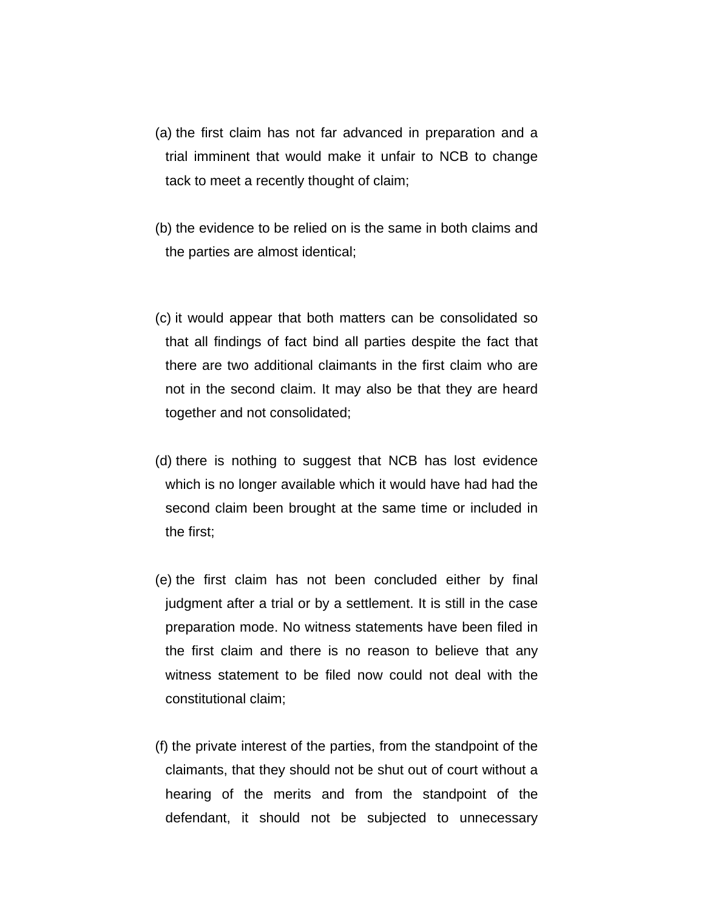- (a) the first claim has not far advanced in preparation and a trial imminent that would make it unfair to NCB to change tack to meet a recently thought of claim;
- (b) the evidence to be relied on is the same in both claims and the parties are almost identical;
- (c) it would appear that both matters can be consolidated so that all findings of fact bind all parties despite the fact that there are two additional claimants in the first claim who are not in the second claim. It may also be that they are heard together and not consolidated;
- (d) there is nothing to suggest that NCB has lost evidence which is no longer available which it would have had had the second claim been brought at the same time or included in the first;
- (e) the first claim has not been concluded either by final judgment after a trial or by a settlement. It is still in the case preparation mode. No witness statements have been filed in the first claim and there is no reason to believe that any witness statement to be filed now could not deal with the constitutional claim;
- (f) the private interest of the parties, from the standpoint of the claimants, that they should not be shut out of court without a hearing of the merits and from the standpoint of the defendant, it should not be subjected to unnecessary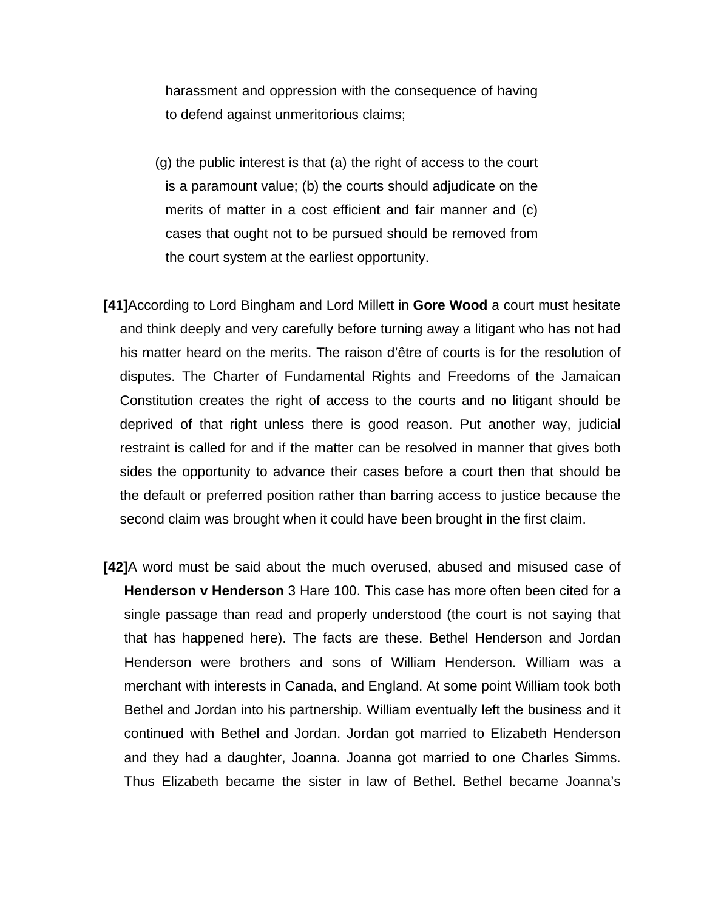harassment and oppression with the consequence of having to defend against unmeritorious claims;

- (g) the public interest is that (a) the right of access to the court is a paramount value; (b) the courts should adjudicate on the merits of matter in a cost efficient and fair manner and (c) cases that ought not to be pursued should be removed from the court system at the earliest opportunity.
- **[41]**According to Lord Bingham and Lord Millett in **Gore Wood** a court must hesitate and think deeply and very carefully before turning away a litigant who has not had his matter heard on the merits. The raison d'être of courts is for the resolution of disputes. The Charter of Fundamental Rights and Freedoms of the Jamaican Constitution creates the right of access to the courts and no litigant should be deprived of that right unless there is good reason. Put another way, judicial restraint is called for and if the matter can be resolved in manner that gives both sides the opportunity to advance their cases before a court then that should be the default or preferred position rather than barring access to justice because the second claim was brought when it could have been brought in the first claim.
- **[42]**A word must be said about the much overused, abused and misused case of **Henderson v Henderson** 3 Hare 100. This case has more often been cited for a single passage than read and properly understood (the court is not saying that that has happened here). The facts are these. Bethel Henderson and Jordan Henderson were brothers and sons of William Henderson. William was a merchant with interests in Canada, and England. At some point William took both Bethel and Jordan into his partnership. William eventually left the business and it continued with Bethel and Jordan. Jordan got married to Elizabeth Henderson and they had a daughter, Joanna. Joanna got married to one Charles Simms. Thus Elizabeth became the sister in law of Bethel. Bethel became Joanna's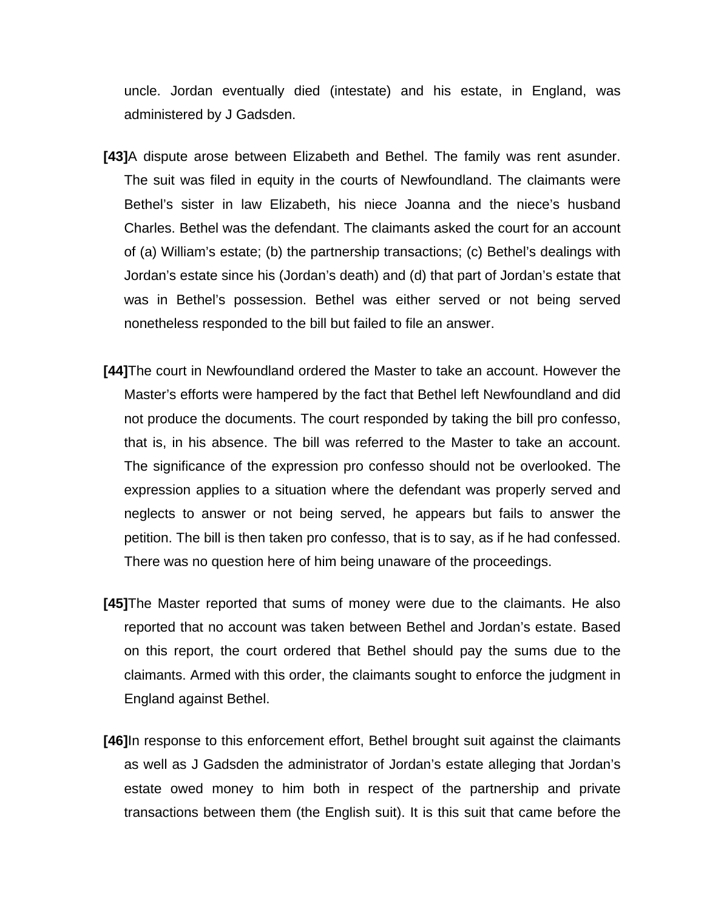uncle. Jordan eventually died (intestate) and his estate, in England, was administered by J Gadsden.

- **[43]**A dispute arose between Elizabeth and Bethel. The family was rent asunder. The suit was filed in equity in the courts of Newfoundland. The claimants were Bethel's sister in law Elizabeth, his niece Joanna and the niece's husband Charles. Bethel was the defendant. The claimants asked the court for an account of (a) William's estate; (b) the partnership transactions; (c) Bethel's dealings with Jordan's estate since his (Jordan's death) and (d) that part of Jordan's estate that was in Bethel's possession. Bethel was either served or not being served nonetheless responded to the bill but failed to file an answer.
- **[44]**The court in Newfoundland ordered the Master to take an account. However the Master's efforts were hampered by the fact that Bethel left Newfoundland and did not produce the documents. The court responded by taking the bill pro confesso, that is, in his absence. The bill was referred to the Master to take an account. The significance of the expression pro confesso should not be overlooked. The expression applies to a situation where the defendant was properly served and neglects to answer or not being served, he appears but fails to answer the petition. The bill is then taken pro confesso, that is to say, as if he had confessed. There was no question here of him being unaware of the proceedings.
- **[45]**The Master reported that sums of money were due to the claimants. He also reported that no account was taken between Bethel and Jordan's estate. Based on this report, the court ordered that Bethel should pay the sums due to the claimants. Armed with this order, the claimants sought to enforce the judgment in England against Bethel.
- **[46]**In response to this enforcement effort, Bethel brought suit against the claimants as well as J Gadsden the administrator of Jordan's estate alleging that Jordan's estate owed money to him both in respect of the partnership and private transactions between them (the English suit). It is this suit that came before the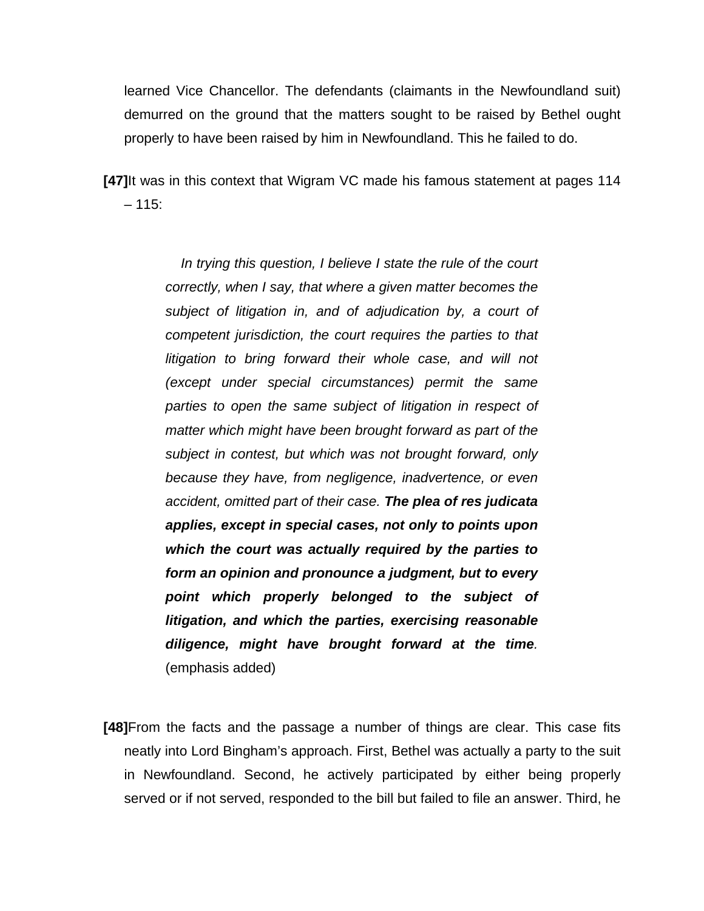learned Vice Chancellor. The defendants (claimants in the Newfoundland suit) demurred on the ground that the matters sought to be raised by Bethel ought properly to have been raised by him in Newfoundland. This he failed to do.

**[47]**It was in this context that Wigram VC made his famous statement at pages 114  $-115$ :

> *In trying this question, I believe I state the rule of the court correctly, when I say, that where a given matter becomes the subject of litigation in, and of adjudication by, a court of competent jurisdiction, the court requires the parties to that litigation to bring forward their whole case, and will not (except under special circumstances) permit the same parties to open the same subject of litigation in respect of matter which might have been brought forward as part of the subject in contest, but which was not brought forward, only because they have, from negligence, inadvertence, or even accident, omitted part of their case. The plea of res judicata applies, except in special cases, not only to points upon which the court was actually required by the parties to form an opinion and pronounce a judgment, but to every point which properly belonged to the subject of litigation, and which the parties, exercising reasonable diligence, might have brought forward at the time.* (emphasis added)

**[48]**From the facts and the passage a number of things are clear. This case fits neatly into Lord Bingham's approach. First, Bethel was actually a party to the suit in Newfoundland. Second, he actively participated by either being properly served or if not served, responded to the bill but failed to file an answer. Third, he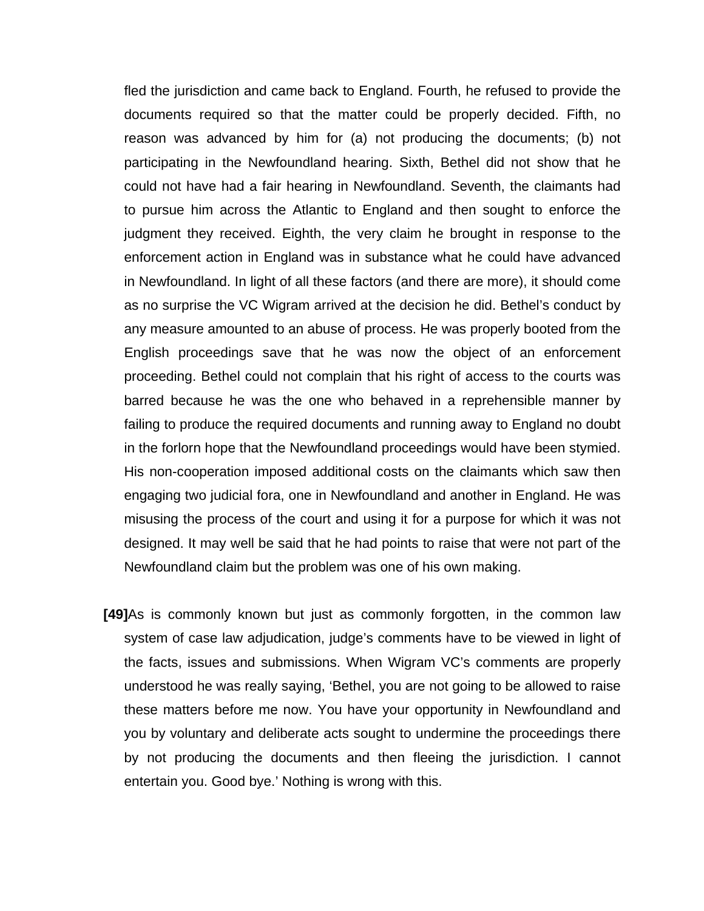fled the jurisdiction and came back to England. Fourth, he refused to provide the documents required so that the matter could be properly decided. Fifth, no reason was advanced by him for (a) not producing the documents; (b) not participating in the Newfoundland hearing. Sixth, Bethel did not show that he could not have had a fair hearing in Newfoundland. Seventh, the claimants had to pursue him across the Atlantic to England and then sought to enforce the judgment they received. Eighth, the very claim he brought in response to the enforcement action in England was in substance what he could have advanced in Newfoundland. In light of all these factors (and there are more), it should come as no surprise the VC Wigram arrived at the decision he did. Bethel's conduct by any measure amounted to an abuse of process. He was properly booted from the English proceedings save that he was now the object of an enforcement proceeding. Bethel could not complain that his right of access to the courts was barred because he was the one who behaved in a reprehensible manner by failing to produce the required documents and running away to England no doubt in the forlorn hope that the Newfoundland proceedings would have been stymied. His non-cooperation imposed additional costs on the claimants which saw then engaging two judicial fora, one in Newfoundland and another in England. He was misusing the process of the court and using it for a purpose for which it was not designed. It may well be said that he had points to raise that were not part of the Newfoundland claim but the problem was one of his own making.

**[49]**As is commonly known but just as commonly forgotten, in the common law system of case law adjudication, judge's comments have to be viewed in light of the facts, issues and submissions. When Wigram VC's comments are properly understood he was really saying, 'Bethel, you are not going to be allowed to raise these matters before me now. You have your opportunity in Newfoundland and you by voluntary and deliberate acts sought to undermine the proceedings there by not producing the documents and then fleeing the jurisdiction. I cannot entertain you. Good bye.' Nothing is wrong with this.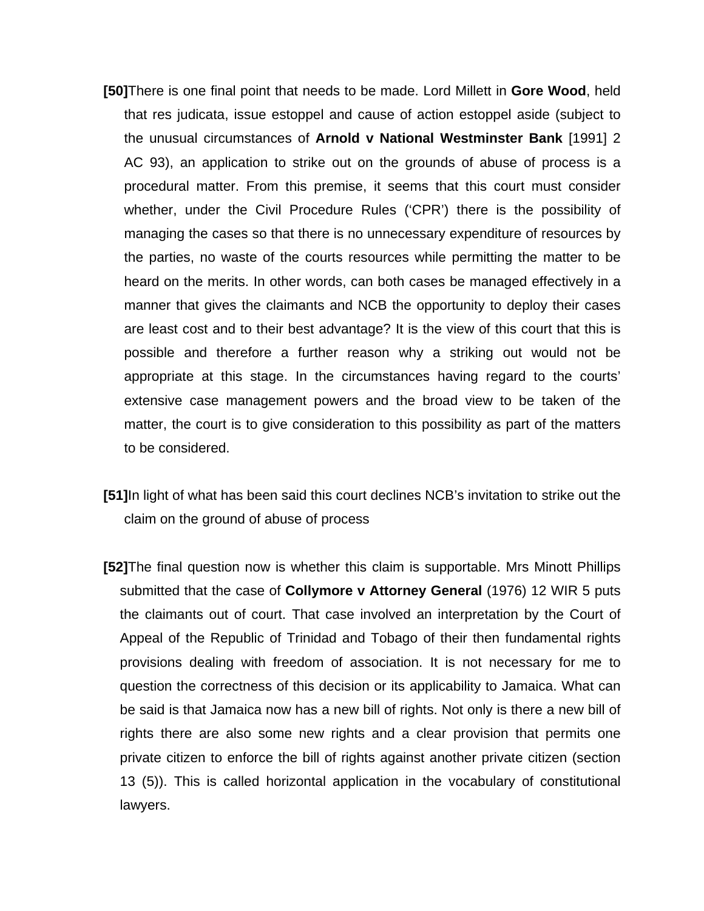- **[50]**There is one final point that needs to be made. Lord Millett in **Gore Wood**, held that res judicata, issue estoppel and cause of action estoppel aside (subject to the unusual circumstances of **Arnold v National Westminster Bank** [1991] 2 AC 93), an application to strike out on the grounds of abuse of process is a procedural matter. From this premise, it seems that this court must consider whether, under the Civil Procedure Rules ('CPR') there is the possibility of managing the cases so that there is no unnecessary expenditure of resources by the parties, no waste of the courts resources while permitting the matter to be heard on the merits. In other words, can both cases be managed effectively in a manner that gives the claimants and NCB the opportunity to deploy their cases are least cost and to their best advantage? It is the view of this court that this is possible and therefore a further reason why a striking out would not be appropriate at this stage. In the circumstances having regard to the courts' extensive case management powers and the broad view to be taken of the matter, the court is to give consideration to this possibility as part of the matters to be considered.
- **[51]**In light of what has been said this court declines NCB's invitation to strike out the claim on the ground of abuse of process
- **[52]**The final question now is whether this claim is supportable. Mrs Minott Phillips submitted that the case of **Collymore v Attorney General** (1976) 12 WIR 5 puts the claimants out of court. That case involved an interpretation by the Court of Appeal of the Republic of Trinidad and Tobago of their then fundamental rights provisions dealing with freedom of association. It is not necessary for me to question the correctness of this decision or its applicability to Jamaica. What can be said is that Jamaica now has a new bill of rights. Not only is there a new bill of rights there are also some new rights and a clear provision that permits one private citizen to enforce the bill of rights against another private citizen (section 13 (5)). This is called horizontal application in the vocabulary of constitutional lawyers.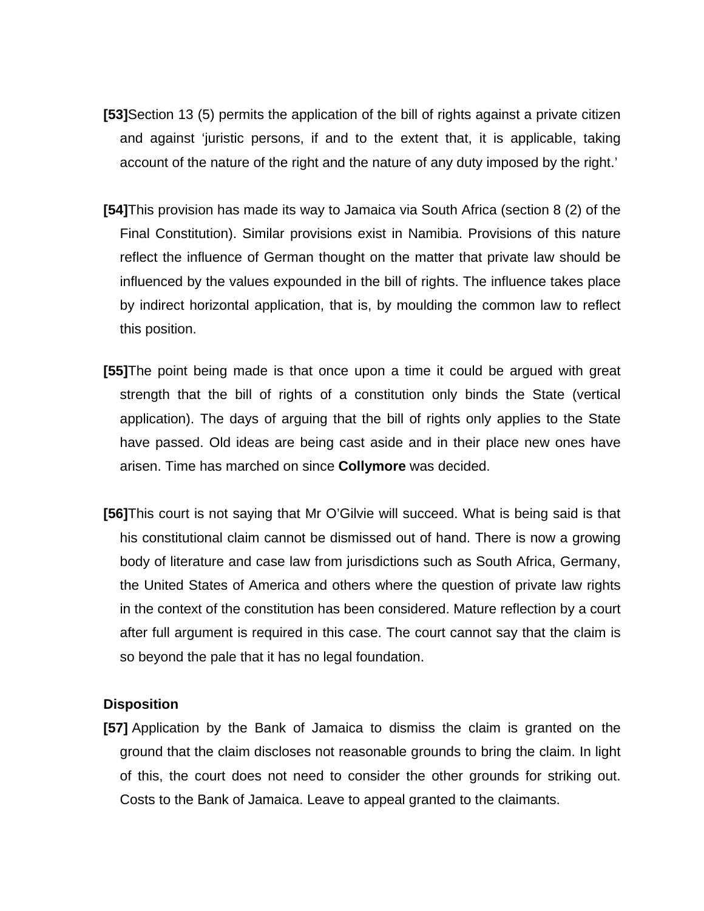- **[53]**Section 13 (5) permits the application of the bill of rights against a private citizen and against 'juristic persons, if and to the extent that, it is applicable, taking account of the nature of the right and the nature of any duty imposed by the right.'
- **[54]**This provision has made its way to Jamaica via South Africa (section 8 (2) of the Final Constitution). Similar provisions exist in Namibia. Provisions of this nature reflect the influence of German thought on the matter that private law should be influenced by the values expounded in the bill of rights. The influence takes place by indirect horizontal application, that is, by moulding the common law to reflect this position.
- **[55]**The point being made is that once upon a time it could be argued with great strength that the bill of rights of a constitution only binds the State (vertical application). The days of arguing that the bill of rights only applies to the State have passed. Old ideas are being cast aside and in their place new ones have arisen. Time has marched on since **Collymore** was decided.
- **[56]**This court is not saying that Mr O'Gilvie will succeed. What is being said is that his constitutional claim cannot be dismissed out of hand. There is now a growing body of literature and case law from jurisdictions such as South Africa, Germany, the United States of America and others where the question of private law rights in the context of the constitution has been considered. Mature reflection by a court after full argument is required in this case. The court cannot say that the claim is so beyond the pale that it has no legal foundation.

#### **Disposition**

**[57]** Application by the Bank of Jamaica to dismiss the claim is granted on the ground that the claim discloses not reasonable grounds to bring the claim. In light of this, the court does not need to consider the other grounds for striking out. Costs to the Bank of Jamaica. Leave to appeal granted to the claimants.